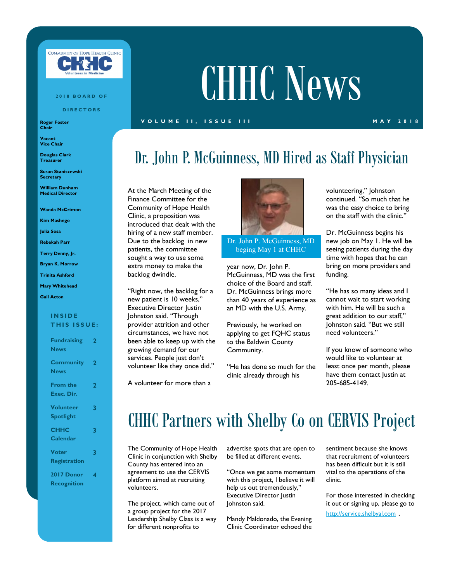

#### **2 0 1 8 B O A R D O F**

**D I R E C T O R S**

**Roger Foster Chair**

**Vacant Vice Chair**

**Douglas Clark Treasurer**

**Susan Staniszewski Secretary**

**William Dunham Medical Director**

**Wanda McCrimon**

**Kim Mashego**

**Julia Sosa**

**Rebekah Parr**

**Terry Denny, Jr.**

**Bryan K. Morrow**

**Trinita Ashford**

### **Mary Whitehead**

**Gail Acton**

#### **I N S I D E THIS ISSUE:**

| <b>Fundraising</b><br><b>News</b>    | 2                       |
|--------------------------------------|-------------------------|
| <b>Community</b><br><b>News</b>      | 2                       |
| <b>From the</b><br>Exec. Dir.        | $\overline{\mathbf{2}}$ |
| <b>Volunteer</b><br><b>Spotlight</b> | 3                       |
| <b>CHHC</b><br>Calendar              | 3                       |
| <b>Voter</b><br><b>Registration</b>  | 3                       |
| 2017 Donor<br><b>Recognition</b>     | 4                       |

# CHHC News

### **V O L U M E I I , I S S U E I I I M A Y 2 0 1 8**

### Dr. John P. McGuinness, MD Hired as Staff Physician

At the March Meeting of the Finance Committee for the Community of Hope Health Clinic, a proposition was introduced that dealt with the hiring of a new staff member. Due to the backlog in new patients, the committee sought a way to use some extra money to make the backlog dwindle.

"Right now, the backlog for a new patient is 10 weeks," Executive Director Justin Johnston said. "Through provider attrition and other circumstances, we have not been able to keep up with the growing demand for our services. People just don't volunteer like they once did."

A volunteer for more than a



Dr. John P. McGuinness, MD beging May 1 at CHHC

year now, Dr. John P. McGuinness, MD was the first choice of the Board and staff. Dr. McGuinness brings more than 40 years of experience as an MD with the U.S. Army.

Previously, he worked on applying to get FQHC status to the Baldwin County Community.

"He has done so much for the clinic already through his

volunteering," Johnston continued. "So much that he was the easy choice to bring on the staff with the clinic."

Dr. McGuinness begins his new job on May 1. He will be seeing patients during the day time with hopes that he can bring on more providers and funding.

"He has so many ideas and I cannot wait to start working with him. He will be such a great addition to our staff," Johnston said. "But we still need volunteers."

If you know of someone who would like to volunteer at least once per month, please have them contact Justin at 205-685-4149.

### CHHC Partners with Shelby Co on CERVIS Project

The Community of Hope Health Clinic in conjunction with Shelby County has entered into an agreement to use the CERVIS platform aimed at recruiting volunteers.

The project, which came out of a group project for the 2017 Leadership Shelby Class is a way for different nonprofits to

advertise spots that are open to be filled at different events.

"Once we get some momentum with this project, I believe it will help us out tremendously," Executive Director Justin Johnston said.

Mandy Maldonado, the Evening Clinic Coordinator echoed the sentiment because she knows that recruitment of volunteers has been difficult but it is still vital to the operations of the clinic.

For those interested in checking it out or signing up, please go to

<http://service.shelbyal.com> .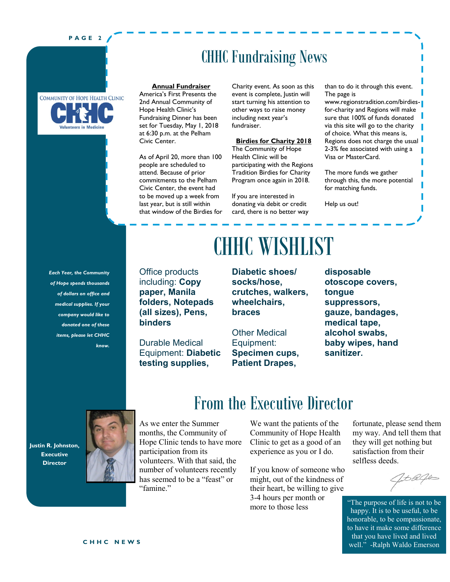### **P A G E 2**



CHHC Fundraising News

#### **Annual Fundraiser**

America's First Presents the 2nd Annual Community of Hope Health Clinic's Fundraising Dinner has been set for Tuesday, May 1, 2018 at 6:30 p.m. at the Pelham Civic Center.

As of April 20, more than 100 people are scheduled to attend. Because of prior commitments to the Pelham Civic Center, the event had to be moved up a week from last year, but is still within that window of the Birdies for Charity event. As soon as this event is complete, Justin will start turning his attention to other ways to raise money including next year's fundraiser.

#### **Birdies for Charity 2018**

The Community of Hope Health Clinic will be participating with the Regions Tradition Birdies for Charity Program once again in 2018.

If you are interested in donating via debit or credit card, there is no better way than to do it through this event. The page is

www.regionstradition.com/birdiesfor-charity and Regions will make sure that 100% of funds donated via this site will go to the charity of choice. What this means is, Regions does not charge the usual 2-3% fee associated with using a Visa or MasterCard.

The more funds we gather through this, the more potential for matching funds.

Help us out!

*Each Year, the Community of Hope spends thousands of dollars on office and medical supplies. If your company would like to donated one of these items, please let CHHC know.* 

Office products including: **Copy paper, Manila folders, Notepads (all sizes), Pens,** 

Durable Medical Equipment: **Diabetic testing supplies,** 

**binders**

# CHHC WISHLIST

**Diabetic shoes/ socks/hose, crutches, walkers, wheelchairs, braces**

Other Medical Equipment: **Specimen cups, Patient Drapes,** 

**disposable otoscope covers, tongue suppressors, gauze, bandages, medical tape, alcohol swabs, baby wipes, hand sanitizer.**

**Justin R. Johnston, Executive Director**



As we enter the Summer months, the Community of Hope Clinic tends to have more participation from its volunteers. With that said, the number of volunteers recently has seemed to be a "feast" or "famine."

### From the Executive Director

We want the patients of the Community of Hope Health Clinic to get as a good of an experience as you or I do.

If you know of someone who might, out of the kindness of their heart, be willing to give 3-4 hours per month or more to those less

fortunate, please send them my way. And tell them that they will get nothing but satisfaction from their selfless deeds.

1 to Refult

"The purpose of life is not to be happy. It is to be useful, to be honorable, to be compassionate, to have it make some difference that you have lived and lived well." -Ralph Waldo Emerson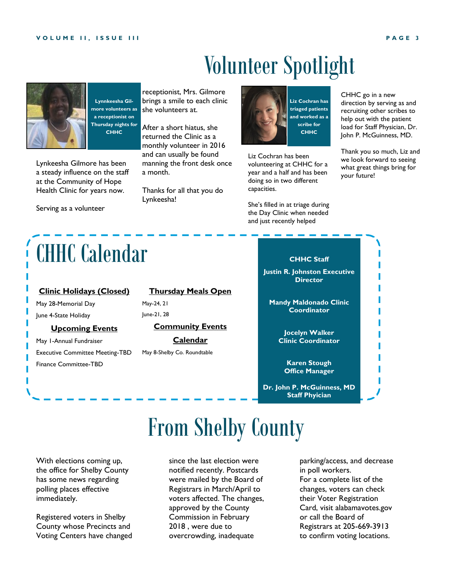# Volunteer Spotlight



**Lynnkeesha Gilmore volunteers as a receptionist on Thursday nights for CHHC**

Lynkeesha Gilmore has been a steady influence on the staff at the Community of Hope Health Clinic for years now.

Serving as a volunteer

# CHHC Calendar

### **Clinic Holidays (Closed)**

May 28-Memorial Day June 4-State Holiday

### **Upcoming Events**

May 1-Annual Fundraiser Executive Committee Meeting-TBD Finance Committee-TBD

receptionist, Mrs. Gilmore brings a smile to each clinic she volunteers at.

After a short hiatus, she returned the Clinic as a monthly volunteer in 2016 and can usually be found manning the front desk once a month.

Thanks for all that you do Lynkeesha!

**Thursday Meals Open**

**Community Events Calendar**

May 8-Shelby Co. Roundtable

May-24, 21 June-21, 28



capacities.

Liz Cochran has been volunteering at CHHC for a year and a half and has been doing so in two different

**CHHC**

She's filled in at triage during the Day Clinic when needed and just recently helped

CHHC go in a new direction by serving as and recruiting other scribes to help out with the patient load for Staff Physician, Dr. John P. McGuinness, MD.

Thank you so much, Liz and we look forward to seeing what great things bring for your future!

### **CHHC Staff**

**Justin R. Johnston Executive Director**

**Mandy Maldonado Clinic Coordinator**

> **Jocelyn Walker Clinic Coordinator**

**Karen Stough Office Manager**

**Dr. John P. McGuinness, MD Staff Phyician**

# From Shelby County

With elections coming up, the office for Shelby County has some news regarding polling places effective immediately.

Registered voters in Shelby County whose Precincts and Voting Centers have changed since the last election were notified recently. Postcards were mailed by the Board of Registrars in March/April to voters affected. The changes, approved by the County Commission in February 2018 , were due to overcrowding, inadequate

parking/access, and decrease in poll workers. For a complete list of the changes, voters can check their Voter Registration Card, visit alabamavotes.gov or call the Board of Registrars at 205-669-3913 to confirm voting locations.